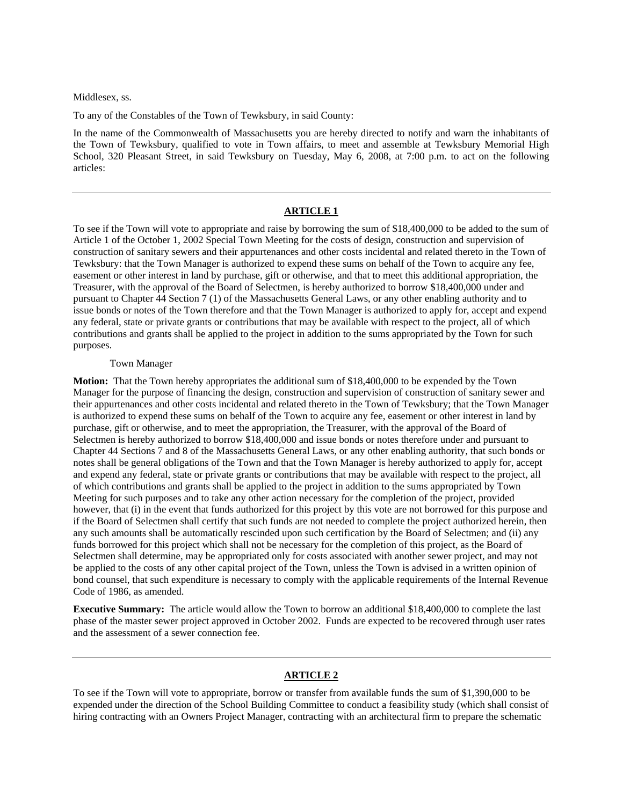Middlesex, ss.

To any of the Constables of the Town of Tewksbury, in said County:

In the name of the Commonwealth of Massachusetts you are hereby directed to notify and warn the inhabitants of the Town of Tewksbury, qualified to vote in Town affairs, to meet and assemble at Tewksbury Memorial High School, 320 Pleasant Street, in said Tewksbury on Tuesday, May 6, 2008, at 7:00 p.m. to act on the following articles:

### **ARTICLE 1**

To see if the Town will vote to appropriate and raise by borrowing the sum of \$18,400,000 to be added to the sum of Article 1 of the October 1, 2002 Special Town Meeting for the costs of design, construction and supervision of construction of sanitary sewers and their appurtenances and other costs incidental and related thereto in the Town of Tewksbury: that the Town Manager is authorized to expend these sums on behalf of the Town to acquire any fee, easement or other interest in land by purchase, gift or otherwise, and that to meet this additional appropriation, the Treasurer, with the approval of the Board of Selectmen, is hereby authorized to borrow \$18,400,000 under and pursuant to Chapter 44 Section 7 (1) of the Massachusetts General Laws, or any other enabling authority and to issue bonds or notes of the Town therefore and that the Town Manager is authorized to apply for, accept and expend any federal, state or private grants or contributions that may be available with respect to the project, all of which contributions and grants shall be applied to the project in addition to the sums appropriated by the Town for such purposes.

#### Town Manager

**Motion:** That the Town hereby appropriates the additional sum of \$18,400,000 to be expended by the Town Manager for the purpose of financing the design, construction and supervision of construction of sanitary sewer and their appurtenances and other costs incidental and related thereto in the Town of Tewksbury; that the Town Manager is authorized to expend these sums on behalf of the Town to acquire any fee, easement or other interest in land by purchase, gift or otherwise, and to meet the appropriation, the Treasurer, with the approval of the Board of Selectmen is hereby authorized to borrow \$18,400,000 and issue bonds or notes therefore under and pursuant to Chapter 44 Sections 7 and 8 of the Massachusetts General Laws, or any other enabling authority, that such bonds or notes shall be general obligations of the Town and that the Town Manager is hereby authorized to apply for, accept and expend any federal, state or private grants or contributions that may be available with respect to the project, all of which contributions and grants shall be applied to the project in addition to the sums appropriated by Town Meeting for such purposes and to take any other action necessary for the completion of the project, provided however, that (i) in the event that funds authorized for this project by this vote are not borrowed for this purpose and if the Board of Selectmen shall certify that such funds are not needed to complete the project authorized herein, then any such amounts shall be automatically rescinded upon such certification by the Board of Selectmen; and (ii) any funds borrowed for this project which shall not be necessary for the completion of this project, as the Board of Selectmen shall determine, may be appropriated only for costs associated with another sewer project, and may not be applied to the costs of any other capital project of the Town, unless the Town is advised in a written opinion of bond counsel, that such expenditure is necessary to comply with the applicable requirements of the Internal Revenue Code of 1986, as amended.

**Executive Summary:** The article would allow the Town to borrow an additional \$18,400,000 to complete the last phase of the master sewer project approved in October 2002. Funds are expected to be recovered through user rates and the assessment of a sewer connection fee.

### **ARTICLE 2**

To see if the Town will vote to appropriate, borrow or transfer from available funds the sum of \$1,390,000 to be expended under the direction of the School Building Committee to conduct a feasibility study (which shall consist of hiring contracting with an Owners Project Manager, contracting with an architectural firm to prepare the schematic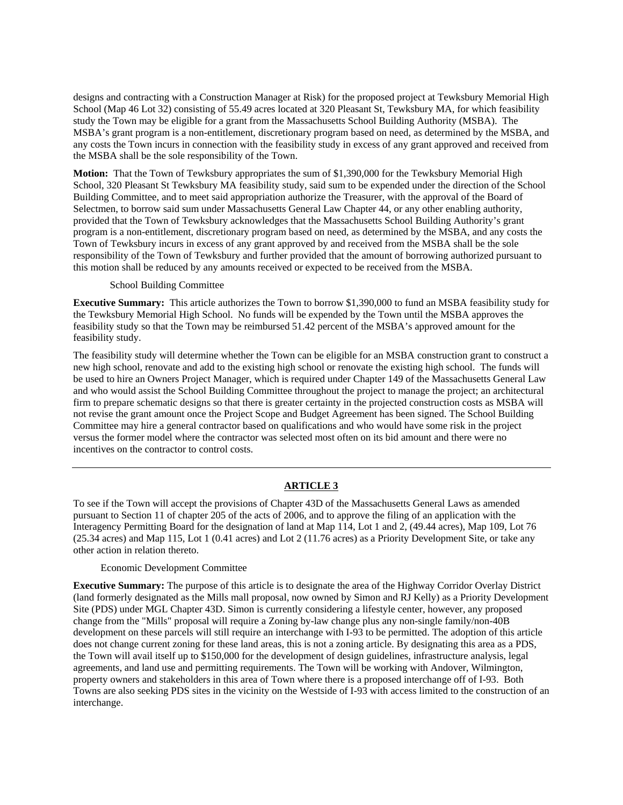designs and contracting with a Construction Manager at Risk) for the proposed project at Tewksbury Memorial High School (Map 46 Lot 32) consisting of 55.49 acres located at 320 Pleasant St, Tewksbury MA, for which feasibility study the Town may be eligible for a grant from the Massachusetts School Building Authority (MSBA). The MSBA's grant program is a non-entitlement, discretionary program based on need, as determined by the MSBA, and any costs the Town incurs in connection with the feasibility study in excess of any grant approved and received from the MSBA shall be the sole responsibility of the Town.

**Motion:** That the Town of Tewksbury appropriates the sum of \$1,390,000 for the Tewksbury Memorial High School, 320 Pleasant St Tewksbury MA feasibility study, said sum to be expended under the direction of the School Building Committee, and to meet said appropriation authorize the Treasurer, with the approval of the Board of Selectmen, to borrow said sum under Massachusetts General Law Chapter 44, or any other enabling authority, provided that the Town of Tewksbury acknowledges that the Massachusetts School Building Authority's grant program is a non-entitlement, discretionary program based on need, as determined by the MSBA, and any costs the Town of Tewksbury incurs in excess of any grant approved by and received from the MSBA shall be the sole responsibility of the Town of Tewksbury and further provided that the amount of borrowing authorized pursuant to this motion shall be reduced by any amounts received or expected to be received from the MSBA.

### School Building Committee

**Executive Summary:** This article authorizes the Town to borrow \$1,390,000 to fund an MSBA feasibility study for the Tewksbury Memorial High School. No funds will be expended by the Town until the MSBA approves the feasibility study so that the Town may be reimbursed 51.42 percent of the MSBA's approved amount for the feasibility study.

The feasibility study will determine whether the Town can be eligible for an MSBA construction grant to construct a new high school, renovate and add to the existing high school or renovate the existing high school. The funds will be used to hire an Owners Project Manager, which is required under Chapter 149 of the Massachusetts General Law and who would assist the School Building Committee throughout the project to manage the project; an architectural firm to prepare schematic designs so that there is greater certainty in the projected construction costs as MSBA will not revise the grant amount once the Project Scope and Budget Agreement has been signed. The School Building Committee may hire a general contractor based on qualifications and who would have some risk in the project versus the former model where the contractor was selected most often on its bid amount and there were no incentives on the contractor to control costs.

# **ARTICLE 3**

To see if the Town will accept the provisions of Chapter 43D of the Massachusetts General Laws as amended pursuant to Section 11 of chapter 205 of the acts of 2006, and to approve the filing of an application with the Interagency Permitting Board for the designation of land at Map 114, Lot 1 and 2, (49.44 acres), Map 109, Lot 76 (25.34 acres) and Map 115, Lot 1 (0.41 acres) and Lot 2 (11.76 acres) as a Priority Development Site, or take any other action in relation thereto.

#### Economic Development Committee

**Executive Summary:** The purpose of this article is to designate the area of the Highway Corridor Overlay District (land formerly designated as the Mills mall proposal, now owned by Simon and RJ Kelly) as a Priority Development Site (PDS) under MGL Chapter 43D. Simon is currently considering a lifestyle center, however, any proposed change from the "Mills" proposal will require a Zoning by-law change plus any non-single family/non-40B development on these parcels will still require an interchange with I-93 to be permitted. The adoption of this article does not change current zoning for these land areas, this is not a zoning article. By designating this area as a PDS, the Town will avail itself up to \$150,000 for the development of design guidelines, infrastructure analysis, legal agreements, and land use and permitting requirements. The Town will be working with Andover, Wilmington, property owners and stakeholders in this area of Town where there is a proposed interchange off of I-93. Both Towns are also seeking PDS sites in the vicinity on the Westside of I-93 with access limited to the construction of an interchange.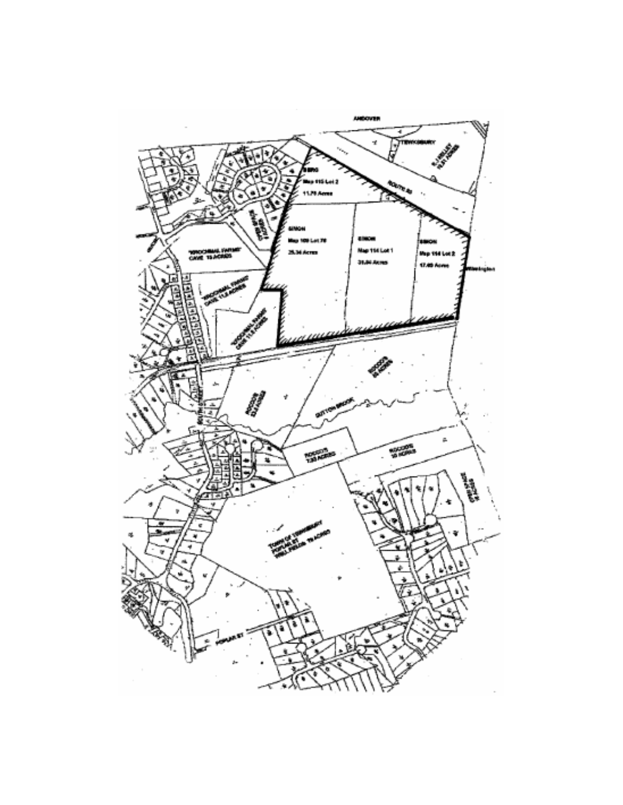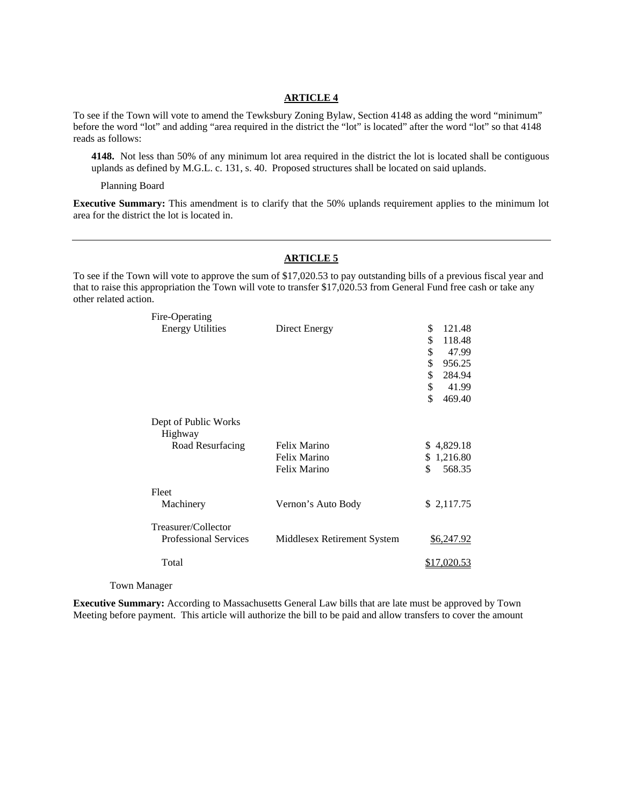# **ARTICLE 4**

To see if the Town will vote to amend the Tewksbury Zoning Bylaw, Section 4148 as adding the word "minimum" before the word "lot" and adding "area required in the district the "lot" is located" after the word "lot" so that 4148 reads as follows:

**4148.** Not less than 50% of any minimum lot area required in the district the lot is located shall be contiguous uplands as defined by M.G.L. c. 131, s. 40. Proposed structures shall be located on said uplands.

Planning Board

**Executive Summary:** This amendment is to clarify that the 50% uplands requirement applies to the minimum lot area for the district the lot is located in.

#### **ARTICLE 5**

To see if the Town will vote to approve the sum of \$17,020.53 to pay outstanding bills of a previous fiscal year and that to raise this appropriation the Town will vote to transfer \$17,020.53 from General Fund free cash or take any other related action.

| Fire-Operating                  |                             |                |
|---------------------------------|-----------------------------|----------------|
| <b>Energy Utilities</b>         | Direct Energy               | \$<br>121.48   |
|                                 |                             | \$<br>118.48   |
|                                 |                             | \$<br>47.99    |
|                                 |                             | \$<br>956.25   |
|                                 |                             | \$<br>284.94   |
|                                 |                             | \$<br>41.99    |
|                                 |                             | \$<br>469.40   |
| Dept of Public Works<br>Highway |                             |                |
| Road Resurfacing                | Felix Marino                | \$4,829.18     |
|                                 | Felix Marino                | 1,216.80<br>\$ |
|                                 | Felix Marino                | \$<br>568.35   |
| Fleet                           |                             |                |
| Machinery                       | Vernon's Auto Body          | \$2,117.75     |
| Treasurer/Collector             |                             |                |
| <b>Professional Services</b>    | Middlesex Retirement System | \$6,247.92     |
| Total                           |                             | \$17,020.53    |
|                                 |                             |                |

Town Manager

**Executive Summary:** According to Massachusetts General Law bills that are late must be approved by Town Meeting before payment. This article will authorize the bill to be paid and allow transfers to cover the amount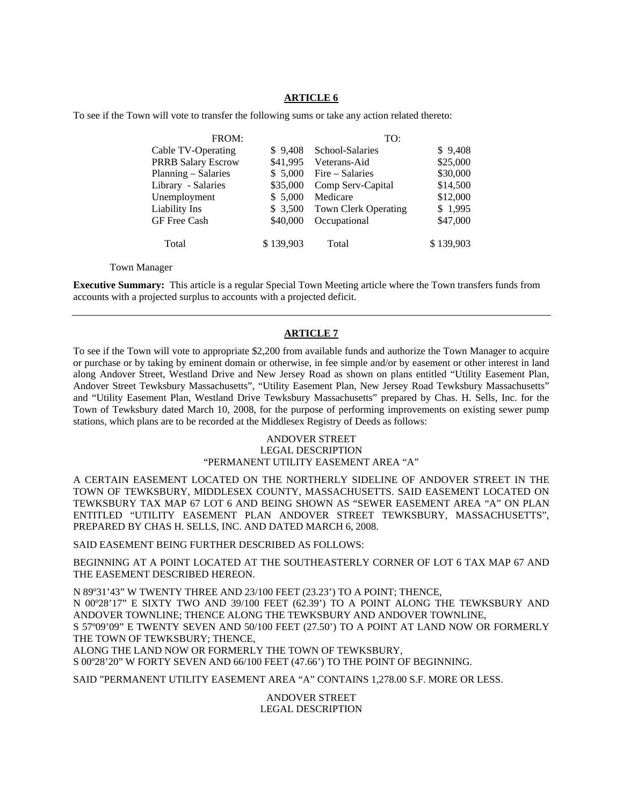# **ARTICLE 6**

To see if the Town will vote to transfer the following sums or take any action related thereto:

| FROM:                     |           | TO:                         |           |
|---------------------------|-----------|-----------------------------|-----------|
| Cable TV-Operating        | \$9,408   | School-Salaries             | \$9,408   |
| <b>PRRB Salary Escrow</b> | \$41,995  | Veterans-Aid                | \$25,000  |
| Planning – Salaries       | \$5,000   | Fire – Salaries             | \$30,000  |
| Library - Salaries        | \$35,000  | Comp Serv-Capital           | \$14,500  |
| Unemployment              | \$5,000   | Medicare                    | \$12,000  |
| Liability Ins             | \$ 3,500  | <b>Town Clerk Operating</b> | \$1,995   |
| GF Free Cash              | \$40,000  | Occupational                | \$47,000  |
| Total                     | \$139,903 | Total                       | \$139,903 |

Town Manager

**Executive Summary:** This article is a regular Special Town Meeting article where the Town transfers funds from accounts with a projected surplus to accounts with a projected deficit.

## **ARTICLE 7**

To see if the Town will vote to appropriate \$2,200 from available funds and authorize the Town Manager to acquire or purchase or by taking by eminent domain or otherwise, in fee simple and/or by easement or other interest in land along Andover Street, Westland Drive and New Jersey Road as shown on plans entitled "Utility Easement Plan, Andover Street Tewksbury Massachusetts", "Utility Easement Plan, New Jersey Road Tewksbury Massachusetts" and "Utility Easement Plan, Westland Drive Tewksbury Massachusetts" prepared by Chas. H. Sells, Inc. for the Town of Tewksbury dated March 10, 2008, for the purpose of performing improvements on existing sewer pump stations, which plans are to be recorded at the Middlesex Registry of Deeds as follows:

# ANDOVER STREET LEGAL DESCRIPTION "PERMANENT UTILITY EASEMENT AREA "A"

A CERTAIN EASEMENT LOCATED ON THE NORTHERLY SIDELINE OF ANDOVER STREET IN THE TOWN OF TEWKSBURY, MIDDLESEX COUNTY, MASSACHUSETTS. SAID EASEMENT LOCATED ON TEWKSBURY TAX MAP 67 LOT 6 AND BEING SHOWN AS "SEWER EASEMENT AREA "A" ON PLAN ENTITLED "UTILITY EASEMENT PLAN ANDOVER STREET TEWKSBURY, MASSACHUSETTS", PREPARED BY CHAS H. SELLS, INC. AND DATED MARCH 6, 2008.

SAID EASEMENT BEING FURTHER DESCRIBED AS FOLLOWS:

BEGINNING AT A POINT LOCATED AT THE SOUTHEASTERLY CORNER OF LOT 6 TAX MAP 67 AND THE EASEMENT DESCRIBED HEREON.

N 89º31'43" W TWENTY THREE AND 23/100 FEET (23.23') TO A POINT; THENCE,

N 00º28'17" E SIXTY TWO AND 39/100 FEET (62.39') TO A POINT ALONG THE TEWKSBURY AND ANDOVER TOWNLINE; THENCE ALONG THE TEWKSBURY AND ANDOVER TOWNLINE,

S 57º09'09" E TWENTY SEVEN AND 50/100 FEET (27.50') TO A POINT AT LAND NOW OR FORMERLY THE TOWN OF TEWKSBURY; THENCE,

ALONG THE LAND NOW OR FORMERLY THE TOWN OF TEWKSBURY,

S 00º28'20" W FORTY SEVEN AND 66/100 FEET (47.66') TO THE POINT OF BEGINNING.

SAID "PERMANENT UTILITY EASEMENT AREA "A" CONTAINS 1,278.00 S.F. MORE OR LESS.

ANDOVER STREET LEGAL DESCRIPTION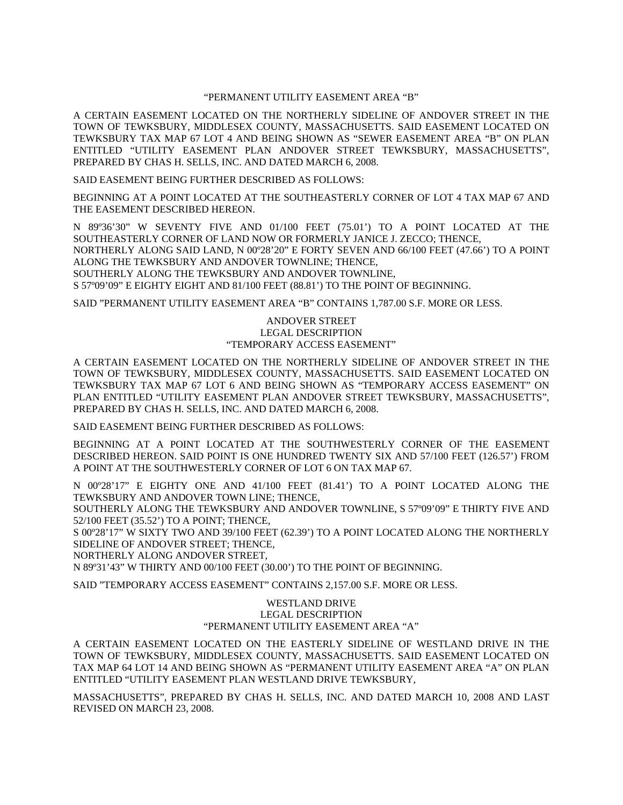### "PERMANENT UTILITY EASEMENT AREA "B"

A CERTAIN EASEMENT LOCATED ON THE NORTHERLY SIDELINE OF ANDOVER STREET IN THE TOWN OF TEWKSBURY, MIDDLESEX COUNTY, MASSACHUSETTS. SAID EASEMENT LOCATED ON TEWKSBURY TAX MAP 67 LOT 4 AND BEING SHOWN AS "SEWER EASEMENT AREA "B" ON PLAN ENTITLED "UTILITY EASEMENT PLAN ANDOVER STREET TEWKSBURY, MASSACHUSETTS", PREPARED BY CHAS H. SELLS, INC. AND DATED MARCH 6, 2008.

SAID EASEMENT BEING FURTHER DESCRIBED AS FOLLOWS:

BEGINNING AT A POINT LOCATED AT THE SOUTHEASTERLY CORNER OF LOT 4 TAX MAP 67 AND THE EASEMENT DESCRIBED HEREON.

N 89º36'30" W SEVENTY FIVE AND 01/100 FEET (75.01') TO A POINT LOCATED AT THE SOUTHEASTERLY CORNER OF LAND NOW OR FORMERLY JANICE J. ZECCO; THENCE,

NORTHERLY ALONG SAID LAND, N 00º28'20" E FORTY SEVEN AND 66/100 FEET (47.66') TO A POINT ALONG THE TEWKSBURY AND ANDOVER TOWNLINE; THENCE,

SOUTHERLY ALONG THE TEWKSBURY AND ANDOVER TOWNLINE,

S 57º09'09" E EIGHTY EIGHT AND 81/100 FEET (88.81') TO THE POINT OF BEGINNING.

SAID "PERMANENT UTILITY EASEMENT AREA "B" CONTAINS 1,787.00 S.F. MORE OR LESS.

ANDOVER STREET LEGAL DESCRIPTION "TEMPORARY ACCESS EASEMENT"

A CERTAIN EASEMENT LOCATED ON THE NORTHERLY SIDELINE OF ANDOVER STREET IN THE TOWN OF TEWKSBURY, MIDDLESEX COUNTY, MASSACHUSETTS. SAID EASEMENT LOCATED ON TEWKSBURY TAX MAP 67 LOT 6 AND BEING SHOWN AS "TEMPORARY ACCESS EASEMENT" ON PLAN ENTITLED "UTILITY EASEMENT PLAN ANDOVER STREET TEWKSBURY, MASSACHUSETTS", PREPARED BY CHAS H. SELLS, INC. AND DATED MARCH 6, 2008.

SAID EASEMENT BEING FURTHER DESCRIBED AS FOLLOWS:

BEGINNING AT A POINT LOCATED AT THE SOUTHWESTERLY CORNER OF THE EASEMENT DESCRIBED HEREON. SAID POINT IS ONE HUNDRED TWENTY SIX AND 57/100 FEET (126.57') FROM A POINT AT THE SOUTHWESTERLY CORNER OF LOT 6 ON TAX MAP 67.

N 00º28'17" E EIGHTY ONE AND 41/100 FEET (81.41') TO A POINT LOCATED ALONG THE TEWKSBURY AND ANDOVER TOWN LINE; THENCE,

SOUTHERLY ALONG THE TEWKSBURY AND ANDOVER TOWNLINE, S 57º09'09" E THIRTY FIVE AND 52/100 FEET (35.52') TO A POINT; THENCE,

S 00º28'17" W SIXTY TWO AND 39/100 FEET (62.39') TO A POINT LOCATED ALONG THE NORTHERLY SIDELINE OF ANDOVER STREET; THENCE,

NORTHERLY ALONG ANDOVER STREET,

N 89º31'43" W THIRTY AND 00/100 FEET (30.00') TO THE POINT OF BEGINNING.

SAID "TEMPORARY ACCESS EASEMENT" CONTAINS 2,157.00 S.F. MORE OR LESS.

## WESTLAND DRIVE LEGAL DESCRIPTION "PERMANENT UTILITY EASEMENT AREA "A"

A CERTAIN EASEMENT LOCATED ON THE EASTERLY SIDELINE OF WESTLAND DRIVE IN THE TOWN OF TEWKSBURY, MIDDLESEX COUNTY, MASSACHUSETTS. SAID EASEMENT LOCATED ON TAX MAP 64 LOT 14 AND BEING SHOWN AS "PERMANENT UTILITY EASEMENT AREA "A" ON PLAN ENTITLED "UTILITY EASEMENT PLAN WESTLAND DRIVE TEWKSBURY,

MASSACHUSETTS", PREPARED BY CHAS H. SELLS, INC. AND DATED MARCH 10, 2008 AND LAST REVISED ON MARCH 23, 2008.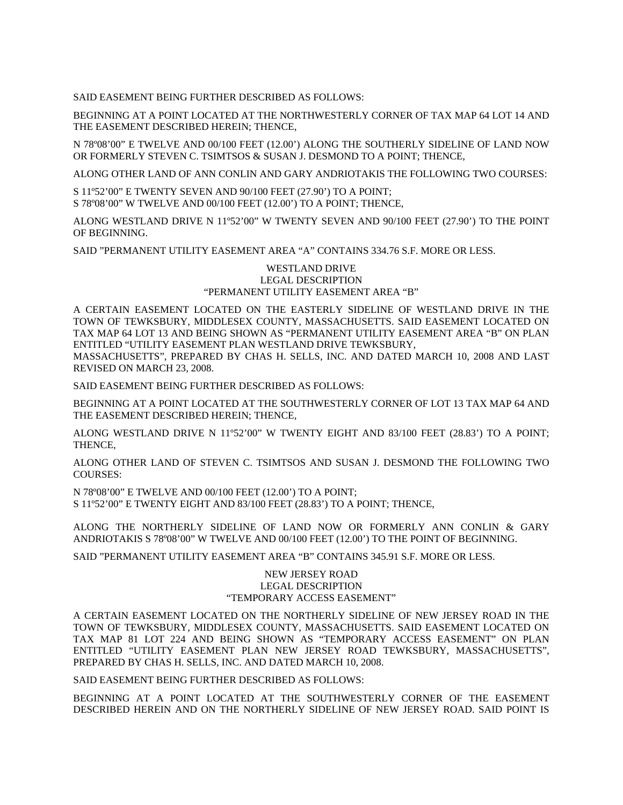SAID EASEMENT BEING FURTHER DESCRIBED AS FOLLOWS:

BEGINNING AT A POINT LOCATED AT THE NORTHWESTERLY CORNER OF TAX MAP 64 LOT 14 AND THE EASEMENT DESCRIBED HEREIN; THENCE,

N 78º08'00" E TWELVE AND 00/100 FEET (12.00') ALONG THE SOUTHERLY SIDELINE OF LAND NOW OR FORMERLY STEVEN C. TSIMTSOS & SUSAN J. DESMOND TO A POINT; THENCE,

ALONG OTHER LAND OF ANN CONLIN AND GARY ANDRIOTAKIS THE FOLLOWING TWO COURSES:

S 11º52'00" E TWENTY SEVEN AND 90/100 FEET (27.90') TO A POINT; S 78º08'00" W TWELVE AND 00/100 FEET (12.00') TO A POINT; THENCE,

ALONG WESTLAND DRIVE N 11º52'00" W TWENTY SEVEN AND 90/100 FEET (27.90') TO THE POINT OF BEGINNING.

SAID "PERMANENT UTILITY EASEMENT AREA "A" CONTAINS 334.76 S.F. MORE OR LESS.

### WESTLAND DRIVE LEGAL DESCRIPTION "PERMANENT UTILITY EASEMENT AREA "B"

A CERTAIN EASEMENT LOCATED ON THE EASTERLY SIDELINE OF WESTLAND DRIVE IN THE TOWN OF TEWKSBURY, MIDDLESEX COUNTY, MASSACHUSETTS. SAID EASEMENT LOCATED ON TAX MAP 64 LOT 13 AND BEING SHOWN AS "PERMANENT UTILITY EASEMENT AREA "B" ON PLAN ENTITLED "UTILITY EASEMENT PLAN WESTLAND DRIVE TEWKSBURY,

MASSACHUSETTS", PREPARED BY CHAS H. SELLS, INC. AND DATED MARCH 10, 2008 AND LAST REVISED ON MARCH 23, 2008.

SAID EASEMENT BEING FURTHER DESCRIBED AS FOLLOWS:

BEGINNING AT A POINT LOCATED AT THE SOUTHWESTERLY CORNER OF LOT 13 TAX MAP 64 AND THE EASEMENT DESCRIBED HEREIN; THENCE,

ALONG WESTLAND DRIVE N 11º52'00" W TWENTY EIGHT AND 83/100 FEET (28.83') TO A POINT; THENCE,

ALONG OTHER LAND OF STEVEN C. TSIMTSOS AND SUSAN J. DESMOND THE FOLLOWING TWO COURSES:

N 78º08'00" E TWELVE AND 00/100 FEET (12.00') TO A POINT; S 11º52'00" E TWENTY EIGHT AND 83/100 FEET (28.83') TO A POINT; THENCE,

ALONG THE NORTHERLY SIDELINE OF LAND NOW OR FORMERLY ANN CONLIN & GARY ANDRIOTAKIS S 78º08'00" W TWELVE AND 00/100 FEET (12.00') TO THE POINT OF BEGINNING.

SAID "PERMANENT UTILITY EASEMENT AREA "B" CONTAINS 345.91 S.F. MORE OR LESS.

# NEW JERSEY ROAD LEGAL DESCRIPTION "TEMPORARY ACCESS EASEMENT"

A CERTAIN EASEMENT LOCATED ON THE NORTHERLY SIDELINE OF NEW JERSEY ROAD IN THE TOWN OF TEWKSBURY, MIDDLESEX COUNTY, MASSACHUSETTS. SAID EASEMENT LOCATED ON TAX MAP 81 LOT 224 AND BEING SHOWN AS "TEMPORARY ACCESS EASEMENT" ON PLAN ENTITLED "UTILITY EASEMENT PLAN NEW JERSEY ROAD TEWKSBURY, MASSACHUSETTS", PREPARED BY CHAS H. SELLS, INC. AND DATED MARCH 10, 2008.

SAID EASEMENT BEING FURTHER DESCRIBED AS FOLLOWS:

BEGINNING AT A POINT LOCATED AT THE SOUTHWESTERLY CORNER OF THE EASEMENT DESCRIBED HEREIN AND ON THE NORTHERLY SIDELINE OF NEW JERSEY ROAD. SAID POINT IS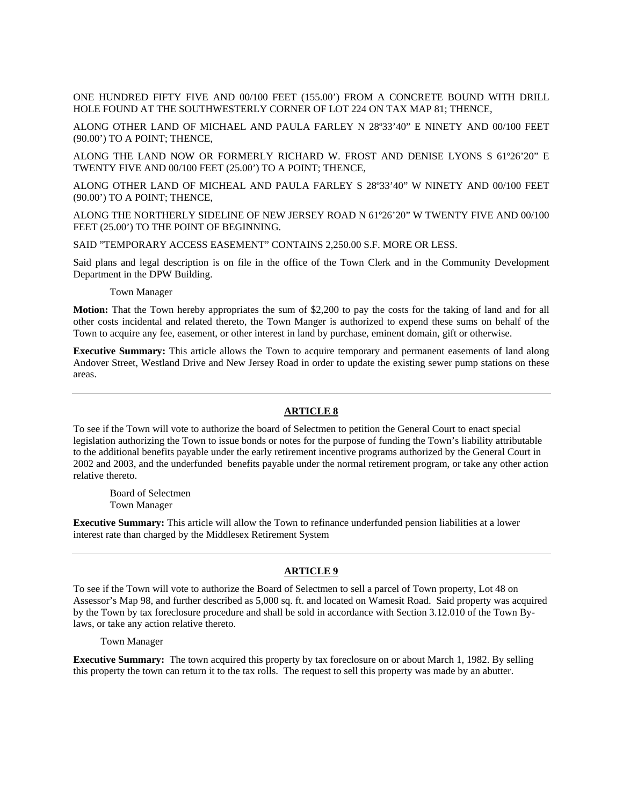ONE HUNDRED FIFTY FIVE AND 00/100 FEET (155.00') FROM A CONCRETE BOUND WITH DRILL HOLE FOUND AT THE SOUTHWESTERLY CORNER OF LOT 224 ON TAX MAP 81; THENCE,

ALONG OTHER LAND OF MICHAEL AND PAULA FARLEY N 28º33'40" E NINETY AND 00/100 FEET (90.00') TO A POINT; THENCE,

ALONG THE LAND NOW OR FORMERLY RICHARD W. FROST AND DENISE LYONS S 61º26'20" E TWENTY FIVE AND 00/100 FEET (25.00') TO A POINT; THENCE,

ALONG OTHER LAND OF MICHEAL AND PAULA FARLEY S 28º33'40" W NINETY AND 00/100 FEET (90.00') TO A POINT; THENCE,

ALONG THE NORTHERLY SIDELINE OF NEW JERSEY ROAD N 61º26'20" W TWENTY FIVE AND 00/100 FEET (25.00') TO THE POINT OF BEGINNING.

SAID "TEMPORARY ACCESS EASEMENT" CONTAINS 2,250.00 S.F. MORE OR LESS.

Said plans and legal description is on file in the office of the Town Clerk and in the Community Development Department in the DPW Building.

Town Manager

**Motion:** That the Town hereby appropriates the sum of \$2,200 to pay the costs for the taking of land and for all other costs incidental and related thereto, the Town Manger is authorized to expend these sums on behalf of the Town to acquire any fee, easement, or other interest in land by purchase, eminent domain, gift or otherwise.

**Executive Summary:** This article allows the Town to acquire temporary and permanent easements of land along Andover Street, Westland Drive and New Jersey Road in order to update the existing sewer pump stations on these areas.

### **ARTICLE 8**

To see if the Town will vote to authorize the board of Selectmen to petition the General Court to enact special legislation authorizing the Town to issue bonds or notes for the purpose of funding the Town's liability attributable to the additional benefits payable under the early retirement incentive programs authorized by the General Court in 2002 and 2003, and the underfunded benefits payable under the normal retirement program, or take any other action relative thereto.

Board of Selectmen Town Manager

**Executive Summary:** This article will allow the Town to refinance underfunded pension liabilities at a lower interest rate than charged by the Middlesex Retirement System

### **ARTICLE 9**

To see if the Town will vote to authorize the Board of Selectmen to sell a parcel of Town property, Lot 48 on Assessor's Map 98, and further described as 5,000 sq. ft. and located on Wamesit Road. Said property was acquired by the Town by tax foreclosure procedure and shall be sold in accordance with Section 3.12.010 of the Town Bylaws, or take any action relative thereto.

Town Manager

**Executive Summary:** The town acquired this property by tax foreclosure on or about March 1, 1982. By selling this property the town can return it to the tax rolls. The request to sell this property was made by an abutter.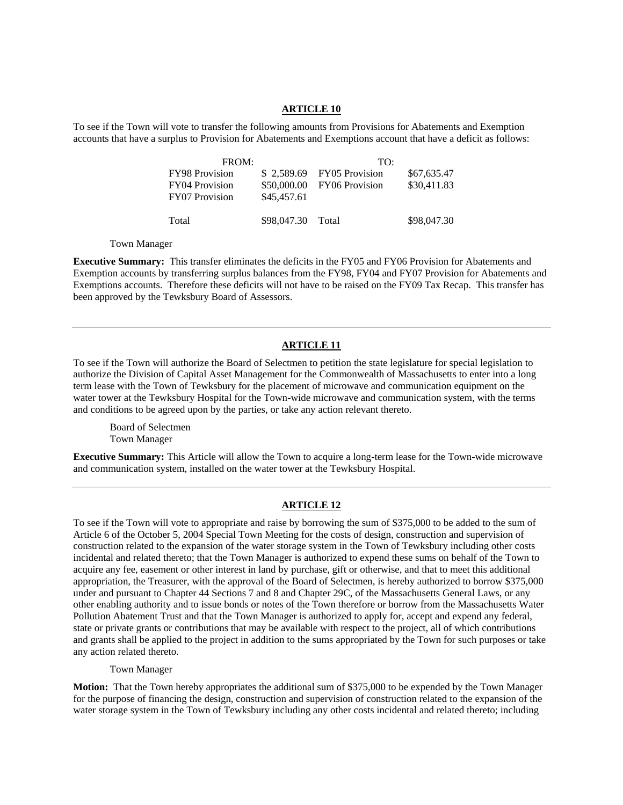### **ARTICLE 10**

To see if the Town will vote to transfer the following amounts from Provisions for Abatements and Exemption accounts that have a surplus to Provision for Abatements and Exemptions account that have a deficit as follows:

| FROM:                 |                   | TO:                        |             |
|-----------------------|-------------------|----------------------------|-------------|
| <b>FY98 Provision</b> |                   | \$2,589.69 FY05 Provision  | \$67,635.47 |
| FY04 Provision        |                   | \$50,000.00 FY06 Provision | \$30,411.83 |
| FY07 Provision        | \$45,457.61       |                            |             |
| Total                 | \$98,047.30 Total |                            | \$98,047.30 |

Town Manager

**Executive Summary:** This transfer eliminates the deficits in the FY05 and FY06 Provision for Abatements and Exemption accounts by transferring surplus balances from the FY98, FY04 and FY07 Provision for Abatements and Exemptions accounts. Therefore these deficits will not have to be raised on the FY09 Tax Recap. This transfer has been approved by the Tewksbury Board of Assessors.

### **ARTICLE 11**

To see if the Town will authorize the Board of Selectmen to petition the state legislature for special legislation to authorize the Division of Capital Asset Management for the Commonwealth of Massachusetts to enter into a long term lease with the Town of Tewksbury for the placement of microwave and communication equipment on the water tower at the Tewksbury Hospital for the Town-wide microwave and communication system, with the terms and conditions to be agreed upon by the parties, or take any action relevant thereto.

Board of Selectmen Town Manager

**Executive Summary:** This Article will allow the Town to acquire a long-term lease for the Town-wide microwave and communication system, installed on the water tower at the Tewksbury Hospital.

#### **ARTICLE 12**

To see if the Town will vote to appropriate and raise by borrowing the sum of \$375,000 to be added to the sum of Article 6 of the October 5, 2004 Special Town Meeting for the costs of design, construction and supervision of construction related to the expansion of the water storage system in the Town of Tewksbury including other costs incidental and related thereto; that the Town Manager is authorized to expend these sums on behalf of the Town to acquire any fee, easement or other interest in land by purchase, gift or otherwise, and that to meet this additional appropriation, the Treasurer, with the approval of the Board of Selectmen, is hereby authorized to borrow \$375,000 under and pursuant to Chapter 44 Sections 7 and 8 and Chapter 29C, of the Massachusetts General Laws, or any other enabling authority and to issue bonds or notes of the Town therefore or borrow from the Massachusetts Water Pollution Abatement Trust and that the Town Manager is authorized to apply for, accept and expend any federal, state or private grants or contributions that may be available with respect to the project, all of which contributions and grants shall be applied to the project in addition to the sums appropriated by the Town for such purposes or take any action related thereto.

Town Manager

**Motion:** That the Town hereby appropriates the additional sum of \$375,000 to be expended by the Town Manager for the purpose of financing the design, construction and supervision of construction related to the expansion of the water storage system in the Town of Tewksbury including any other costs incidental and related thereto; including